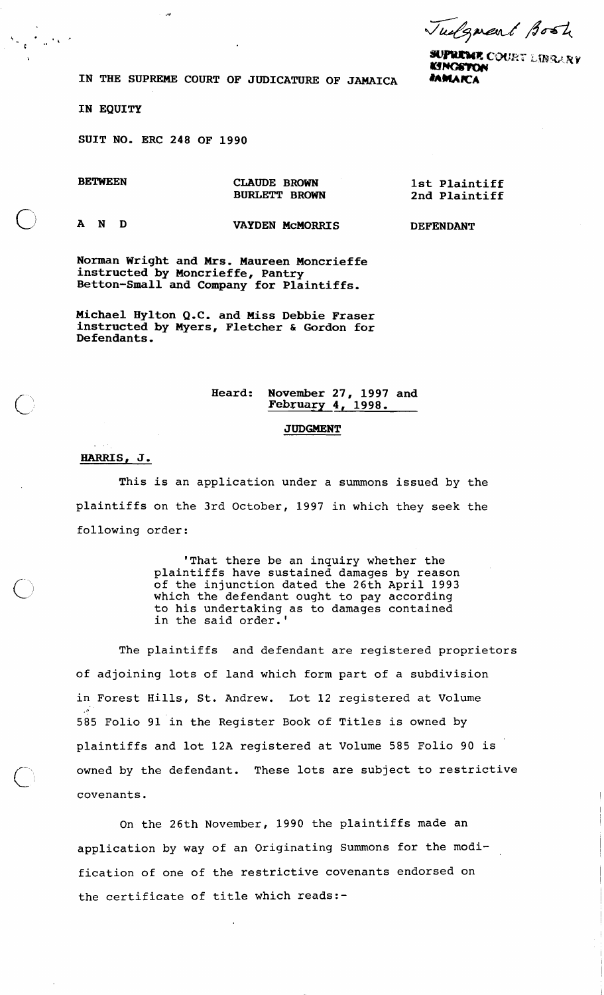Tudgment Bost

**SUPREME COURT LIBRARY KINGSTON** 

**IN THE SUPREME COURT OF JUDICATURE OF JAMAICA #AMAKA** 

**IN EQUITY** 

 $\frac{1}{2} \frac{1}{2} \frac{1}{2} \frac{1}{2} \frac{1}{2} \frac{1}{2} \frac{1}{2} \frac{1}{2}$ 

**SUIT NO. ERC 248 OF 1990** 

 $\mathbf{v}$ 

**BETWEEN** 

**CLAUDE BROWN BURLETT BROWN**  **1st Plaintiff 2nd Plaintiff** 

0 **AND** 

**VAYDEN McMORRI S** 

**DEFENDANT** 

**Norman Wright and Mrs. Maureen Moncrieffe instructed by Moncrieffe, Pantry Betton-Small and Company for Plaintiffs.** 

**Michael Hylton Q.C. and Miss Debbie Fraser instructed by Myers, Fletcher** & **Gordon for Defendants.** 

## **Heard: November 27, 1997 and February 4, 1998.**

## **JUDGMENT**

## **HARRIS, J.**

This is an application under a summons issued by the plaintiffs on the 3rd October, 1997 in which they seek the following order:

> 'That there be an inquiry whether the plaintiffs have sustained damages by reason of the injunction dated the 26th April 1993 which the defendant ought to pay according to his undertaking as to damages contained in the said order.'

The plaintiffs and defendant are registered proprietors of adjoining lots of land which form part of a subdivision in Forest Hills, St. Andrew. Lot 12 registered at Volume 585 Folio 91 in the Register Book of Titles is owned by plaintiffs and lot 12A registered at Volume 585 Folio 90 is owned by the defendant. These lots are subject to restrictive covenants.

On the 26th November, 1990 the plaintiffs made an application by way of an Originating Summons for the modification of one of the restrictive covenants endorsed on the certificate of title which reads:-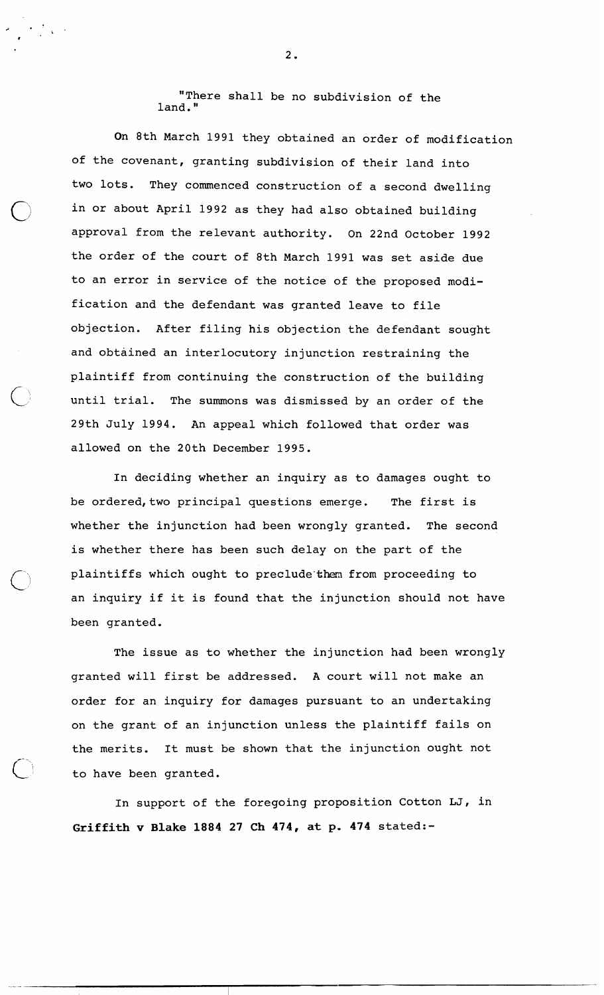"There shall be no subdivision of the land. "

On 8th March 1991 they obtained an order of modification of the covenant, granting subdivision of their land into two lots. They commenced construction of a second dwelling in or about April 1992 as they had also obtained building approval from the relevant authority. On 22nd October 1992 the order of the court of 8th March 1991 was set aside due to an error in service of the notice of the proposed modification and the defendant was granted leave to file objection. After filing his objection the defendant sought and obtained an interlocutory injunction restraining the plaintiff from continuing the construction of the building until trial. The summons was dismissed by an order of the 29th July 1994. An appeal which followed that order was allowed on the 20th December 1995.

In deciding whether an inquiry as to damages ought to be ordered, two principal questions emerge. The first is whether the injunction had been wrongly granted. The second is whether there has been such delay on the part of the plaintiffs which ought to preclude them from proceeding to an inquiry if it is found that the injunction should not have been granted.

The issue as to whether the injunction had been wrongly granted will first be addressed. A court will not make an order for an inquiry for damages pursuant to an undertaking on the grant of an injunction unless the plaintiff fails on the merits. It must be shown that the injunction ought not to have been granted.

In support of the foregoing proposition Cotton LJ, in **Griffith v Blake 1884 27 Ch 474, at p. 474** stated:-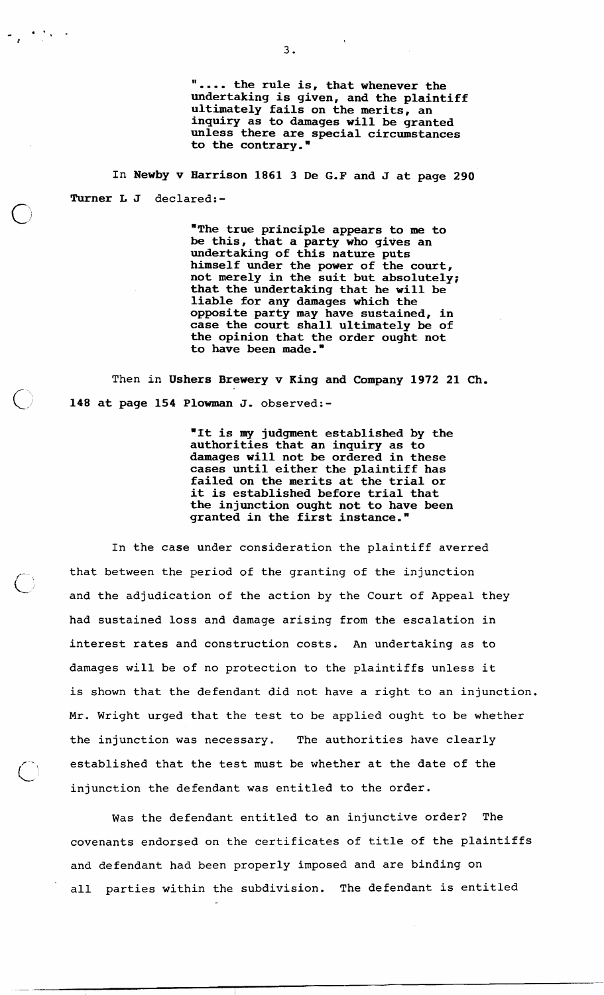**'I.... the rule is, that whenever the undertaking is given, and the plaintiff ultimately fails on the merits, an inquiry as to damages will be granted unless there are special circumstances to the contrary."** 

In **Newby v Harrison 1861 3 De G.F and J at page 290 Turner L J** declared:-

 $\bigcap$ 

 $\label{eq:2.1} \frac{d\mathbf{r}}{d\mathbf{r}} = \frac{1}{2} \left( \frac{\partial \mathbf{r}}{\partial \mathbf{r}} \right) \mathbf{r} \quad \text{and} \quad \mathbf{r} = \frac{1}{2} \left( \frac{\partial \mathbf{r}}{\partial \mathbf{r}} \right) \mathbf{r} \quad \text{and} \quad \mathbf{r} = \frac{1}{2} \left( \frac{\partial \mathbf{r}}{\partial \mathbf{r}} \right) \mathbf{r} \quad \text{and} \quad \mathbf{r} = \frac{1}{2} \left( \frac{\partial \mathbf{r}}{\partial \mathbf{r}} \right) \math$ 

**"The true principle appears to me to be this, that a party who gives an undertaking of this nature puts himself under the power of the court, not merely in the suit but absolutely; that the undertaking that he will be liable for any damages which the opposite party may have sustained, in case the court shall ultimately be of the opinion that the order ought not to have been made."** 

Then in **Ushers Brewery v King and Company 1972 21 Ch. 148 at page 154 Plowman J.** observed:-

> **"It is my judgment established by the authorities that an inquiry as to damages will not be ordered in these cases until either the plaintiff has failed on the merits at the trial or it is established before trial that the injunction ought not to have been granted in the first instance."**

In the case under consideration the plaintiff averred that between the period of the granting of the injunction<br>and the adjudication of the action by the Court of Appeal they had sustained loss and damage arising from the escalation in interest rates and construction costs. An undertaking as to damages will be of no protection to the plaintiffs unless it is shown that the defendant did not have a right to an injunction. Mr. Wright urged that the test to be applied ought to be whether the injunction was necessary. The authorities have clearly established that the test must be whether at the date of the injunction the defendant was entitled to the order.

Was the defendant entitled to an injunctive order? The covenants endorsed on the certificates of title of the plaintiffs and defendant had been properly imposed and are binding on all parties within the subdivision. The defendant is entitled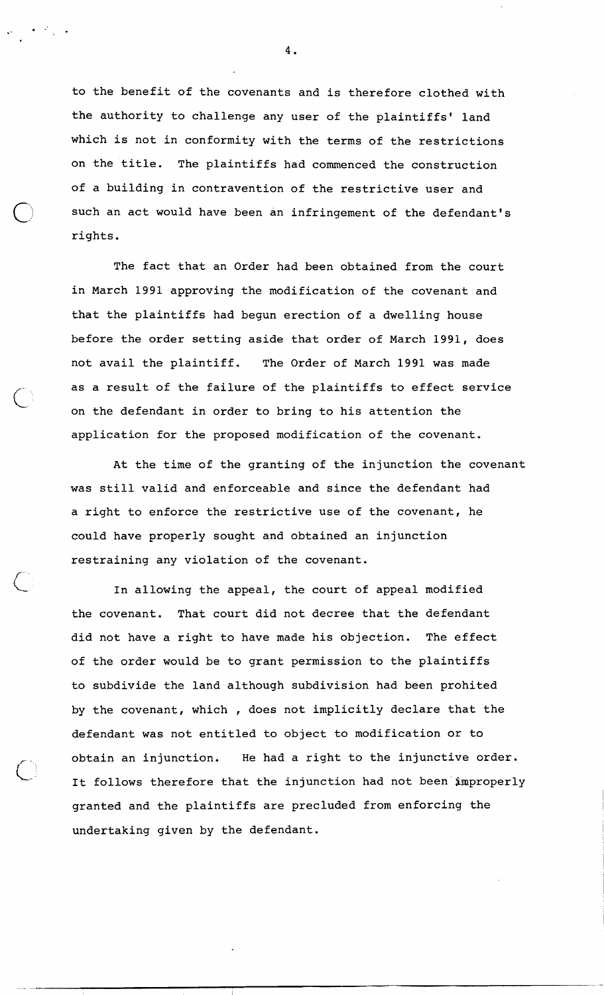to the benefit of the covenants and is therefore clothed with the authority to challenge any user of the plaintiffs' land which is not in conformity with the terms of the restrictions on the title. The plaintiffs had commenced the construction of a building in contravention of the restrictive user and such an act would have been an infringement of the defendant's rights.

The fact that an Order had been obtained from the court in March 1991 approving the modification of the covenant and that the plaintiffs had begun erection of a dwelling house before the order setting aside that order of March 1991, does not avail the plaintiff. The Order of March 1991 was made as a result of the failure of the plaintiffs to effect service on the defendant in order to bring to his attention the application for the proposed modification of the covenant.

At the time of the granting of the injunction the covenant was still valid and enforceable and since the defendant had a right to enforce the restrictive use of the covenant, he could have properly sought and obtained an injunction restraining any violation of the covenant.

In allowing the appeal, the court of appeal modified the covenant. That court did not decree that the defendant did not have a right to have made his objection. The effect of the order would be to grant permission to the plaintiffs to subdivide the land although subdivision had been prohited by the covenant, which , does not implicitly declare that the defendant was not entitled to object to modification or to obtain an injunction. He had a right to the injunctive order. It follows therefore that the injunction had not been improperly granted and the plaintiffs are precluded from enforcing the undertaking given by the defendant.

'

.'!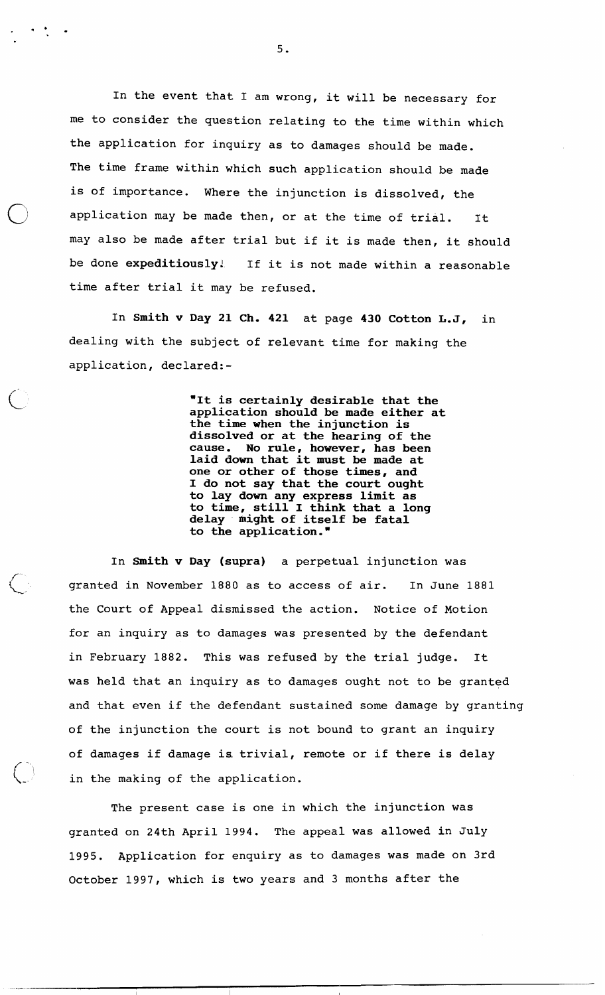In the event that I am wrong, it will be necessary for me to consider the question relating to the time within which the application for inquiry as to damages should be made. The time frame within which such application should be made is of importance. Where the injunction is dissolved, the application may be made then, or at the time of trial. It may also be made after trial but if it is made then, it should be done **expeditiously!** If it is not made within a reasonable time after trial it may be refused.

In **Smith v Day 21 Ch. 421** at page **430 Cotton L.J,** in dealing with the subject of relevant time for making the application, declared:-

> **"It is certainly desirable that the application should be made either at the time when the injunction is dissolved or at the hearing of the cause. No rule, however, has been laid down that it must be made at one or other of those times, and I do not say that the court ought to lay down any express limit as to time, still I think that a long delay might of itself be fatal to the application.** "

In **Smith v Day (supra)** a perpetual injunction was granted in November 1880 as to access of air. In June 1881 the Court of Appeal dismissed the action. Notice of Motion for an inquiry as to damages was presented by the defendant in February 1882. This was refused by the trial judge. It was held that an inquiry as to damages ought not to be granted and that even if the defendant sustained some damage by granting of the injunction the court is not bound to grant an inquiry of damages if damage is trivial, remote or if there is delay in the making of the application.

The present case is one in which the injunction was granted on 24th April 1994. The appeal was allowed in July 1995. Application for enquiry as to damages was made on 3rd October 1997, which is two years and 3 months after the